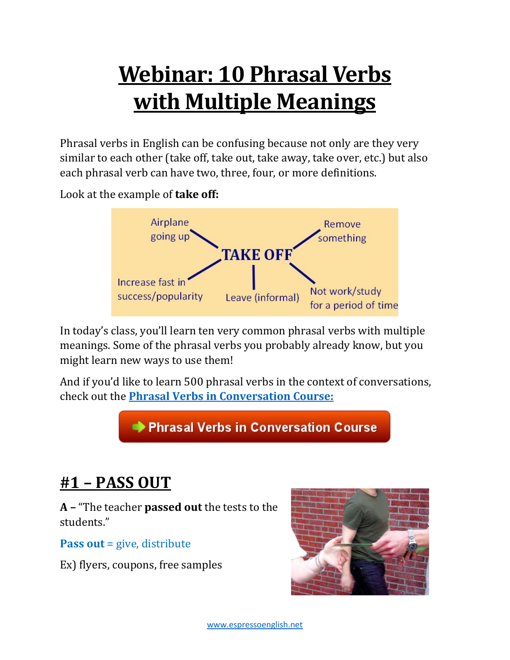# **Webinar: 10 Phrasal Verbs with Multiple Meanings**

Phrasal verbs in English can be confusing because not only are they very similar to each other (take off, take out, take away, take over, etc.) but also each phrasal verb can have two, three, four, or more definitions.

Look at the example of **take off:**



In today's class, you'll learn ten very common phrasal verbs with multiple meanings. Some of the phrasal verbs you probably already know, but you might learn new ways to use them!

And if you'd like to learn 500 phrasal verbs in the context of conversations, check out the **[Phrasal Verbs in Conversation Course:](http://www.espressoenglish.net/phrasal-verbs-intensive-course/)**

← Phrasal Verbs in Conversation Course

# **#1 – PASS OUT**

**A –** "The teacher **passed out** the tests to the students."

**Pass out** = give, distribute

Ex) flyers, coupons, free samples

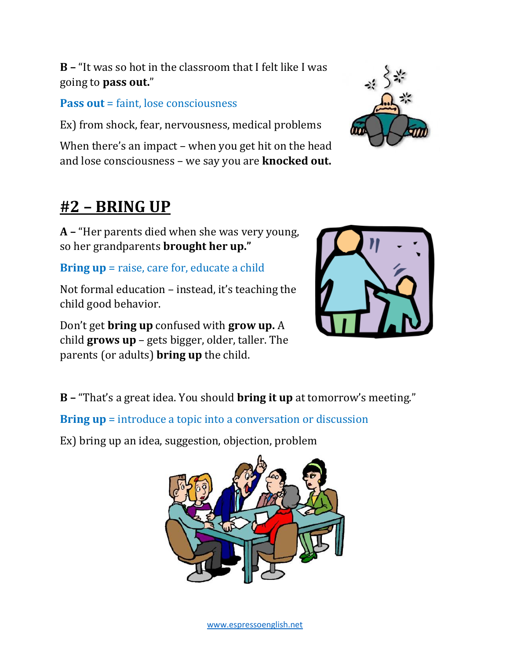**B –** "It was so hot in the classroom that I felt like I was going to **pass out.**"

**Pass out** = faint, lose consciousness

Ex) from shock, fear, nervousness, medical problems

When there's an impact – when you get hit on the head and lose consciousness – we say you are **knocked out.**

# **#2 – BRING UP**

**A –** "Her parents died when she was very young, so her grandparents **brought her up."**

**Bring up** = raise, care for, educate a child

Not formal education – instead, it's teaching the child good behavior.

Don't get **bring up** confused with **grow up.** A child **grows up** – gets bigger, older, taller. The parents (or adults) **bring up** the child.





**B –** "That's a great idea. You should **bring it up** at tomorrow's meeting."

**Bring up** = introduce a topic into a conversation or discussion

Ex) bring up an idea, suggestion, objection, problem

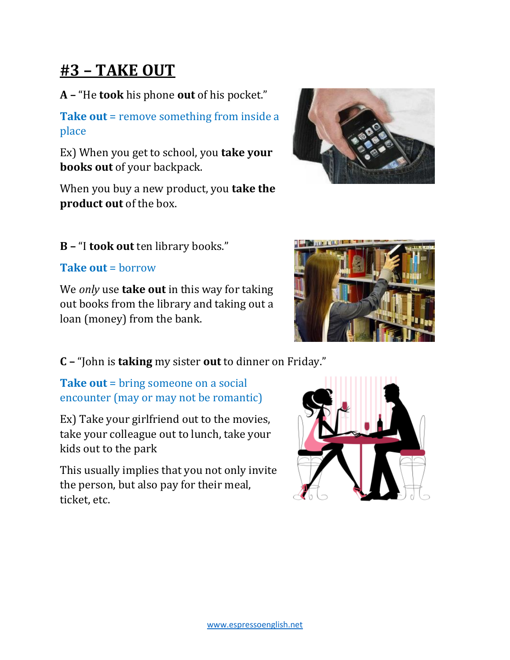# **#3 – TAKE OUT**

**A –** "He **took** his phone **out** of his pocket."

**Take out** = remove something from inside a place

Ex) When you get to school, you **take your books out** of your backpack.

When you buy a new product, you **take the product out** of the box.



#### **B –** "I **took out** ten library books."

#### **Take out** = borrow

We *only* use **take out** in this way for taking out books from the library and taking out a loan (money) from the bank.



**C –** "John is **taking** my sister **out** to dinner on Friday."

#### **Take out** = bring someone on a social encounter (may or may not be romantic)

Ex) Take your girlfriend out to the movies, take your colleague out to lunch, take your kids out to the park

This usually implies that you not only invite the person, but also pay for their meal, ticket, etc.

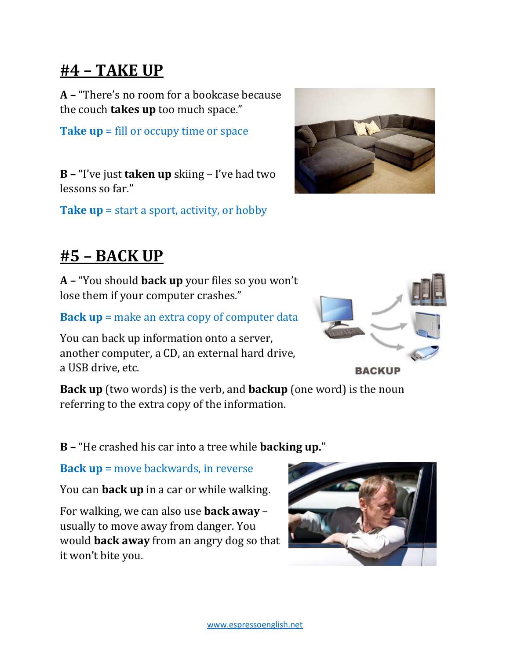### **#4 – TAKE UP**

**A –** "There's no room for a bookcase because the couch **takes up** too much space."

**Take up** = fill or occupy time or space

**B –** "I've just **taken up** skiing – I've had two lessons so far."

**Take up** = start a sport, activity, or hobby



### **#5 – BACK UP**

**A –** "You should **back up** your files so you won't lose them if your computer crashes."

**Back up** = make an extra copy of computer data

You can back up information onto a server, another computer, a CD, an external hard drive, a USB drive, etc.

**Back up** (two words) is the verb, and **backup** (one word) is the noun referring to the extra copy of the information.

**B –** "He crashed his car into a tree while **backing up.**"

**Back up** = move backwards, in reverse

You can **back up** in a car or while walking.

For walking, we can also use **back away** – usually to move away from danger. You would **back away** from an angry dog so that it won't bite you.





**BACKUP**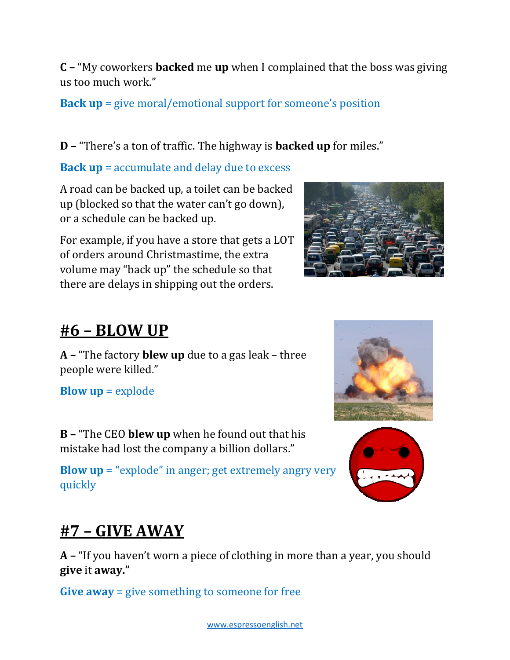**C –** "My coworkers **backed** me **up** when I complained that the boss was giving us too much work."

**Back up** = give moral/emotional support for someone's position

#### **D –** "There's a ton of traffic. The highway is **backed up** for miles."

**Back up** = accumulate and delay due to excess

A road can be backed up, a toilet can be backed up (blocked so that the water can't go down), or a schedule can be backed up.

For example, if you have a store that gets a LOT of orders around Christmastime, the extra volume may "back up" the schedule so that there are delays in shipping out the orders.



### **#6 – BLOW UP**

**A –** "The factory **blew up** due to a gas leak – three people were killed."

#### **Blow up** = explode

**B –** "The CEO **blew up** when he found out that his mistake had lost the company a billion dollars."

**Blow up** = "explode" in anger; get extremely angry very quickly

# **#7 – GIVE AWAY**

**A –** "If you haven't worn a piece of clothing in more than a year, you should **give** it **away."**

**Give away** = give something to someone for free



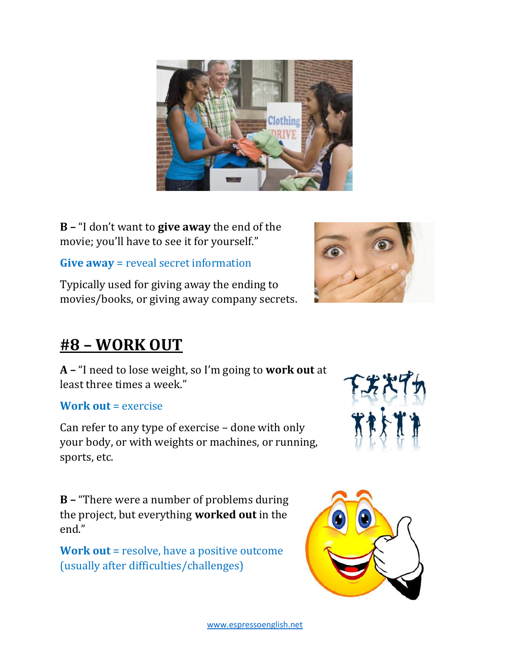

**B –** "I don't want to **give away** the end of the movie; you'll have to see it for yourself."

**Give away** = reveal secret information

Typically used for giving away the ending to movies/books, or giving away company secrets.

### **#8 – WORK OUT**

**A –** "I need to lose weight, so I'm going to **work out** at least three times a week."

#### **Work out** = exercise

Can refer to any type of exercise – done with only your body, or with weights or machines, or running, sports, etc.

**B –** "There were a number of problems during the project, but everything **worked out** in the end."

**Work out** = resolve, have a positive outcome (usually after difficulties/challenges)





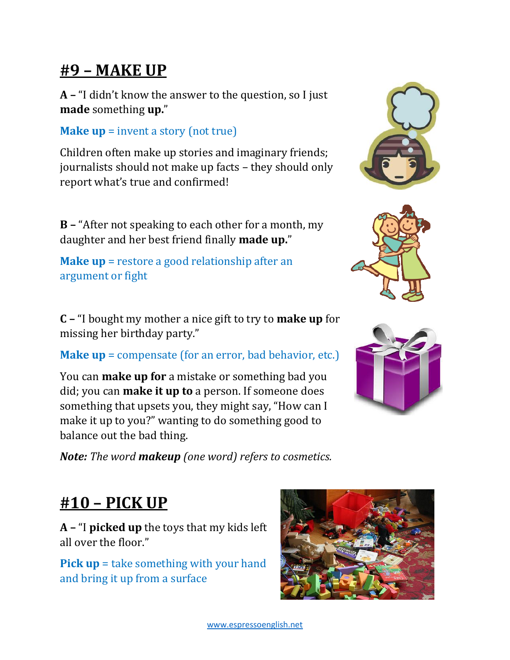### **#9 – MAKE UP**

**A –** "I didn't know the answer to the question, so I just **made** something **up.**"

**Make up** = invent a story (not true)

Children often make up stories and imaginary friends; journalists should not make up facts – they should only report what's true and confirmed!

**B –** "After not speaking to each other for a month, my daughter and her best friend finally **made up.**"

**Make up** = restore a good relationship after an argument or fight

**C –** "I bought my mother a nice gift to try to **make up** for missing her birthday party."

**Make up** = compensate (for an error, bad behavior, etc.)

You can **make up for** a mistake or something bad you did; you can **make it up to** a person. If someone does something that upsets you, they might say, "How can I make it up to you?" wanting to do something good to balance out the bad thing.

*Note: The word makeup (one word) refers to cosmetics.*

# **#10 – PICK UP**

**A –** "I **picked up** the toys that my kids left all over the floor."

**Pick up** = take something with your hand and bring it up from a surface







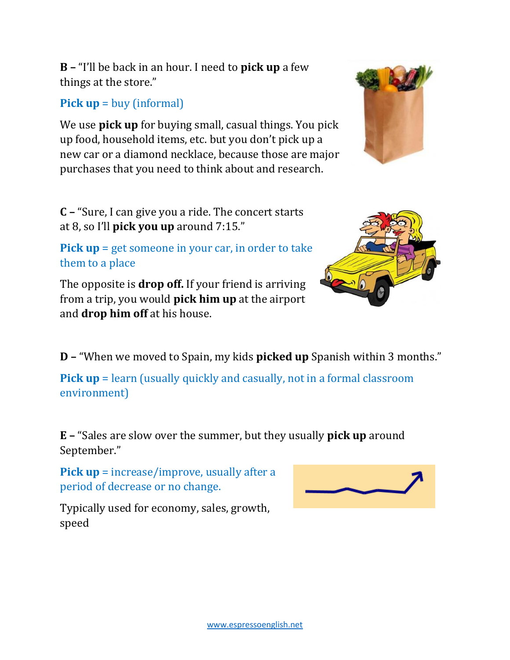**B –** "I'll be back in an hour. I need to **pick up** a few things at the store."

#### **Pick up** = buy (informal)

We use **pick up** for buying small, casual things. You pick up food, household items, etc. but you don't pick up a new car or a diamond necklace, because those are major purchases that you need to think about and research.



**C –** "Sure, I can give you a ride. The concert starts at 8, so I'll **pick you up** around 7:15."

**Pick up** = get someone in your car, in order to take them to a place

The opposite is **drop off.** If your friend is arriving from a trip, you would **pick him up** at the airport and **drop him off** at his house.



**D –** "When we moved to Spain, my kids **picked up** Spanish within 3 months."

**Pick up** = learn (usually quickly and casually, not in a formal classroom environment)

**E –** "Sales are slow over the summer, but they usually **pick up** around September."

**Pick up** = increase/improve, usually after a period of decrease or no change.



Typically used for economy, sales, growth, speed